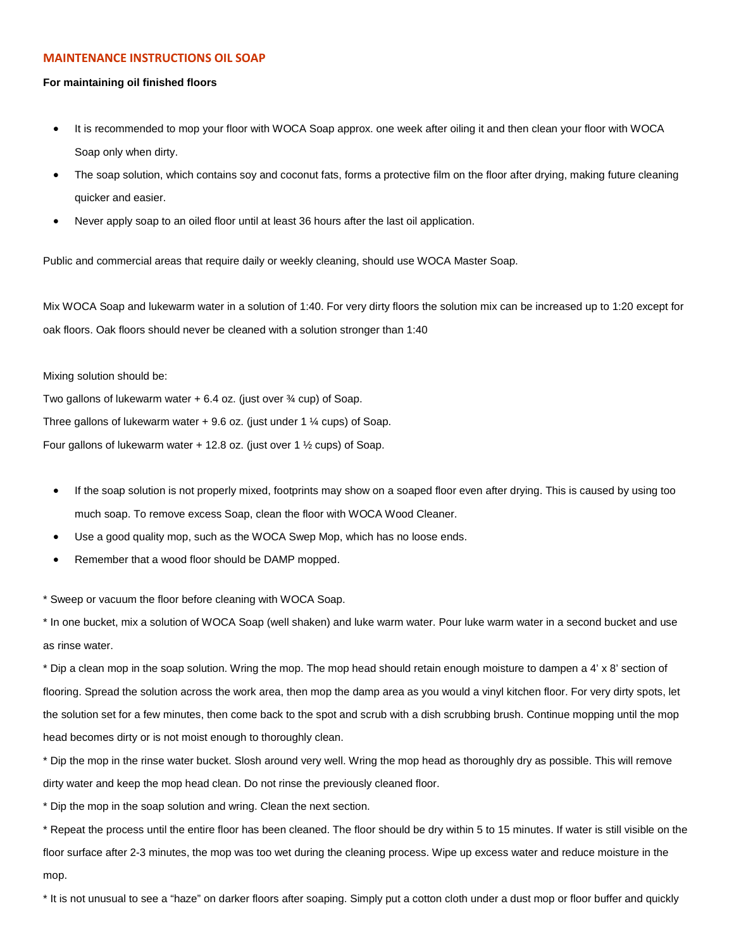## **MAINTENANCE INSTRUCTIONS OIL SOAP**

## **For maintaining oil finished floors**

- It is recommended to mop your floor with WOCA Soap approx. one week after oiling it and then clean your floor with WOCA Soap only when dirty.
- The soap solution, which contains soy and coconut fats, forms a protective film on the floor after drying, making future cleaning quicker and easier.
- Never apply soap to an oiled floor until at least 36 hours after the last oil application.

Public and commercial areas that require daily or weekly cleaning, should use WOCA Master Soap.

Mix WOCA Soap and lukewarm water in a solution of 1:40. For very dirty floors the solution mix can be increased up to 1:20 except for oak floors. Oak floors should never be cleaned with a solution stronger than 1:40

## Mixing solution should be:

Two gallons of lukewarm water  $+ 6.4$  oz. (just over  $\frac{3}{4}$  cup) of Soap. Three gallons of lukewarm water + 9.6 oz. (just under 1 ¼ cups) of Soap.

Four gallons of lukewarm water  $+$  12.8 oz. (just over 1  $\frac{1}{2}$  cups) of Soap.

- If the soap solution is not properly mixed, footprints may show on a soaped floor even after drying. This is caused by using too much soap. To remove excess Soap, clean the floor with WOCA Wood Cleaner.
- Use a good quality mop, such as the WOCA Swep Mop, which has no loose ends.
- Remember that a wood floor should be DAMP mopped.

\* Sweep or vacuum the floor before cleaning with WOCA Soap.

\* In one bucket, mix a solution of WOCA Soap (well shaken) and luke warm water. Pour luke warm water in a second bucket and use as rinse water.

\* Dip a clean mop in the soap solution. Wring the mop. The mop head should retain enough moisture to dampen a 4' x 8' section of flooring. Spread the solution across the work area, then mop the damp area as you would a vinyl kitchen floor. For very dirty spots, let the solution set for a few minutes, then come back to the spot and scrub with a dish scrubbing brush. Continue mopping until the mop head becomes dirty or is not moist enough to thoroughly clean.

\* Dip the mop in the rinse water bucket. Slosh around very well. Wring the mop head as thoroughly dry as possible. This will remove dirty water and keep the mop head clean. Do not rinse the previously cleaned floor.

\* Dip the mop in the soap solution and wring. Clean the next section.

\* Repeat the process until the entire floor has been cleaned. The floor should be dry within 5 to 15 minutes. If water is still visible on the floor surface after 2-3 minutes, the mop was too wet during the cleaning process. Wipe up excess water and reduce moisture in the mop.

\* It is not unusual to see a "haze" on darker floors after soaping. Simply put a cotton cloth under a dust mop or floor buffer and quickly